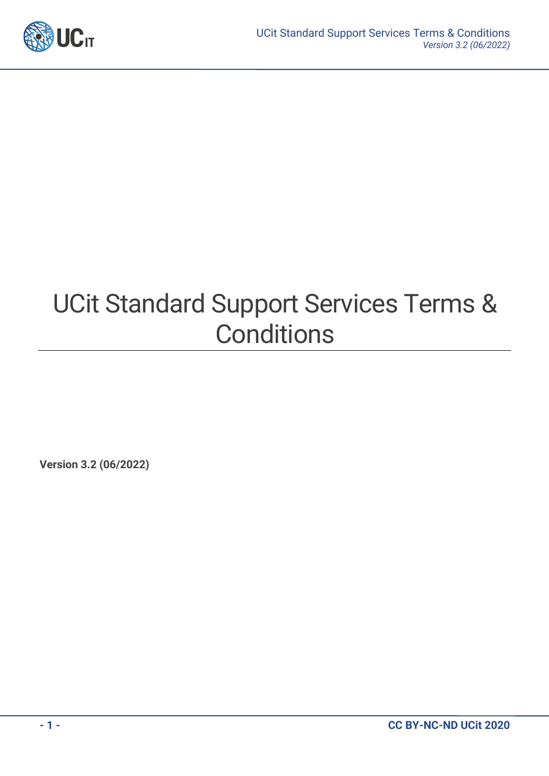

# UCit Standard Support Services Terms & **Conditions**

**Version 3.2 (06/2022)**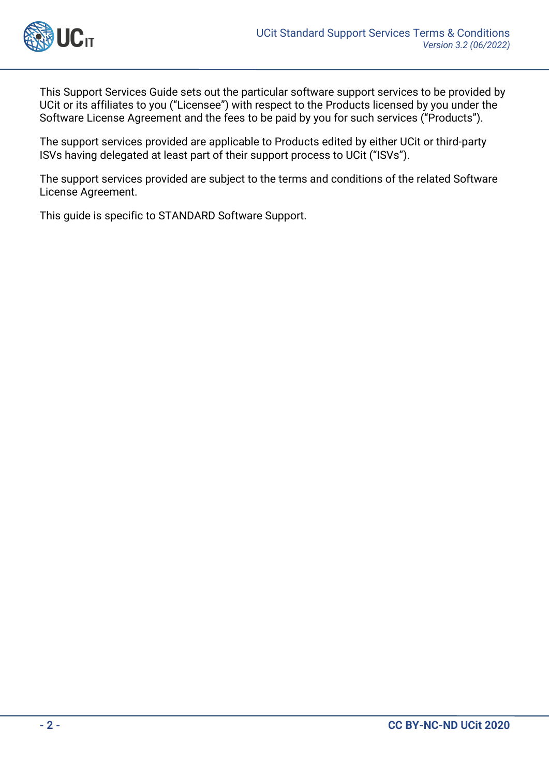

This Support Services Guide sets out the particular software support services to be provided by UCit or its affiliates to you ("Licensee") with respect to the Products licensed by you under the Software License Agreement and the fees to be paid by you for such services ("Products").

The support services provided are applicable to Products edited by either UCit or third-party ISVs having delegated at least part of their support process to UCit ("ISVs").

The support services provided are subject to the terms and conditions of the related Software License Agreement.

This guide is specific to STANDARD Software Support.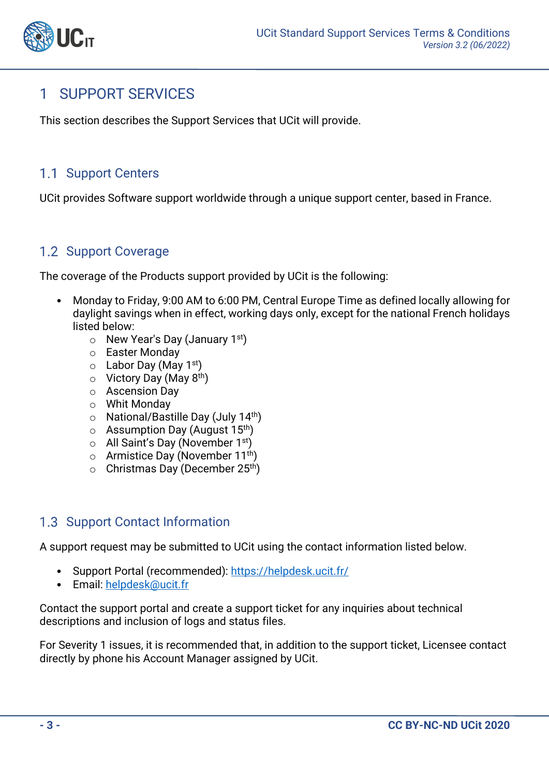

## 1 SUPPORT SERVICES

This section describes the Support Services that UCit will provide.

#### 1.1 Support Centers

UCit provides Software support worldwide through a unique support center, based in France.

#### 1.2 Support Coverage

The coverage of the Products support provided by UCit is the following:

- Monday to Friday, 9:00 AM to 6:00 PM, Central Europe Time as defined locally allowing for daylight savings when in effect, working days only, except for the national French holidays listed below:
	- $\circ$  New Year's Day (January 1st)
	- o Easter Monday
	- $\circ$  Labor Day (May 1<sup>st</sup>)
	- $\circ$  Victory Day (May 8<sup>th</sup>)
	- o Ascension Day
	- o Whit Monday
	- $\circ$  National/Bastille Day (July 14<sup>th</sup>)
	- $\circ$  Assumption Day (August 15<sup>th</sup>)
	- $\circ$  All Saint's Day (November 1st)
	- $\circ$  Armistice Day (November 11<sup>th</sup>)
	- $\circ$  Christmas Day (December 25<sup>th</sup>)

#### 1.3 Support Contact Information

A support request may be submitted to UCit using the contact information listed below.

- Support Portal (recommended): https://helpdesk.ucit.fr/
- Email: helpdesk@ucit.fr

Contact the support portal and create a support ticket for any inquiries about technical descriptions and inclusion of logs and status files.

For Severity 1 issues, it is recommended that, in addition to the support ticket, Licensee contact directly by phone his Account Manager assigned by UCit.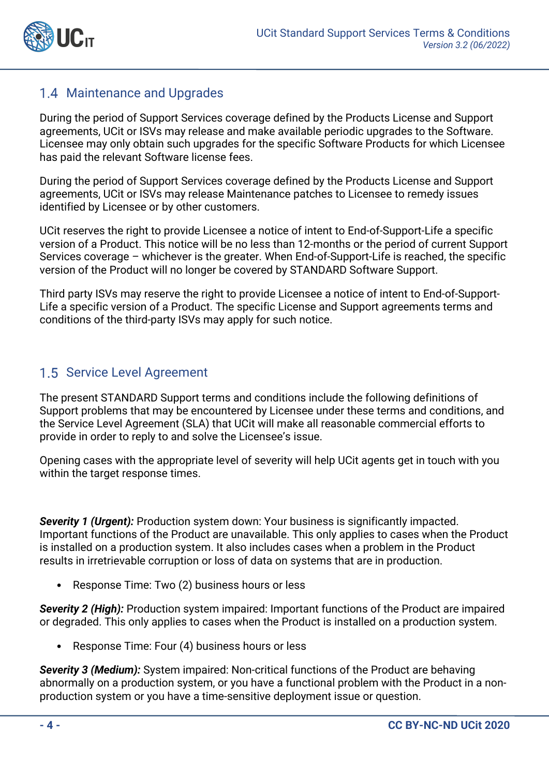

### 1.4 Maintenance and Upgrades

During the period of Support Services coverage defined by the Products License and Support agreements, UCit or ISVs may release and make available periodic upgrades to the Software. Licensee may only obtain such upgrades for the specific Software Products for which Licensee has paid the relevant Software license fees.

During the period of Support Services coverage defined by the Products License and Support agreements, UCit or ISVs may release Maintenance patches to Licensee to remedy issues identified by Licensee or by other customers.

UCit reserves the right to provide Licensee a notice of intent to End-of-Support-Life a specific version of a Product. This notice will be no less than 12-months or the period of current Support Services coverage – whichever is the greater. When End-of-Support-Life is reached, the specific version of the Product will no longer be covered by STANDARD Software Support.

Third party ISVs may reserve the right to provide Licensee a notice of intent to End-of-Support-Life a specific version of a Product. The specific License and Support agreements terms and conditions of the third-party ISVs may apply for such notice.

#### 1.5 Service Level Agreement

The present STANDARD Support terms and conditions include the following definitions of Support problems that may be encountered by Licensee under these terms and conditions, and the Service Level Agreement (SLA) that UCit will make all reasonable commercial efforts to provide in order to reply to and solve the Licensee's issue.

Opening cases with the appropriate level of severity will help UCit agents get in touch with you within the target response times.

**Severity 1 (Urgent):** Production system down: Your business is significantly impacted. Important functions of the Product are unavailable. This only applies to cases when the Product is installed on a production system. It also includes cases when a problem in the Product results in irretrievable corruption or loss of data on systems that are in production.

• Response Time: Two (2) business hours or less

*Severity 2 (High):* Production system impaired: Important functions of the Product are impaired or degraded. This only applies to cases when the Product is installed on a production system.

Response Time: Four (4) business hours or less

*Severity 3 (Medium):* System impaired: Non-critical functions of the Product are behaving abnormally on a production system, or you have a functional problem with the Product in a nonproduction system or you have a time-sensitive deployment issue or question.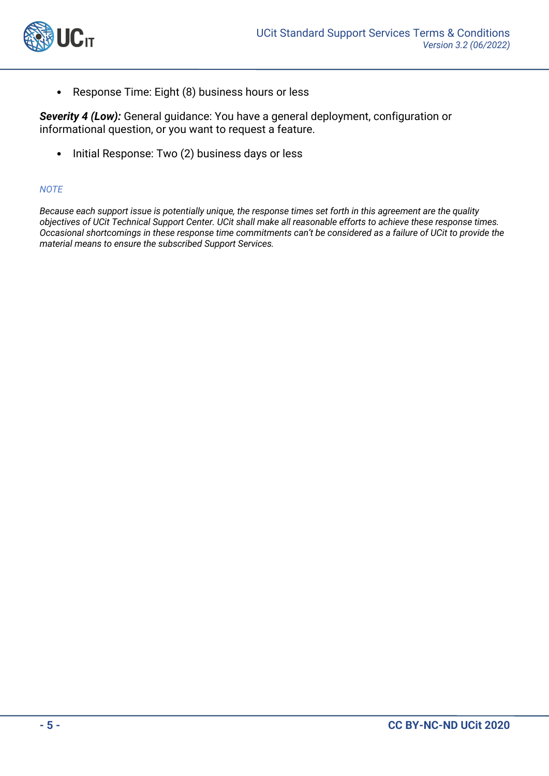



• Response Time: Eight (8) business hours or less

*Severity 4 (Low):* General guidance: You have a general deployment, configuration or informational question, or you want to request a feature.

• Initial Response: Two (2) business days or less

#### *NOTE*

*Because each support issue is potentially unique, the response times set forth in this agreement are the quality objectives of UCit Technical Support Center. UCit shall make all reasonable efforts to achieve these response times. Occasional shortcomings in these response time commitments can't be considered as a failure of UCit to provide the material means to ensure the subscribed Support Services.*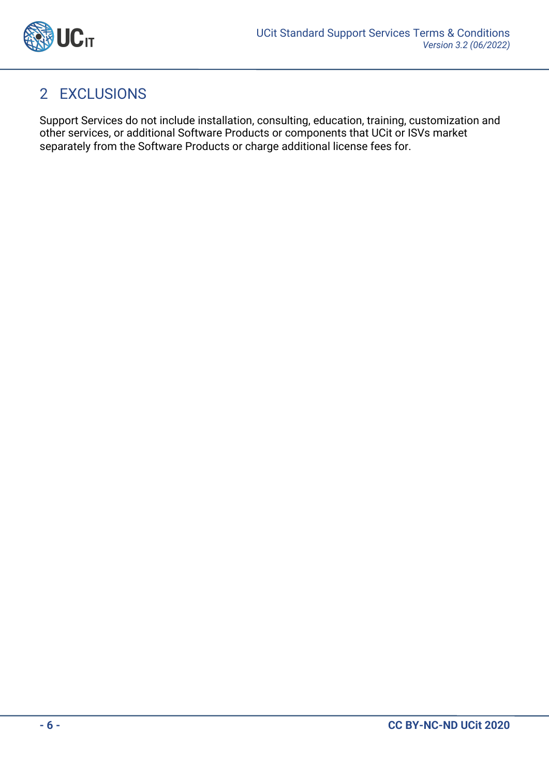

# 2 EXCLUSIONS

Support Services do not include installation, consulting, education, training, customization and other services, or additional Software Products or components that UCit or ISVs market separately from the Software Products or charge additional license fees for.